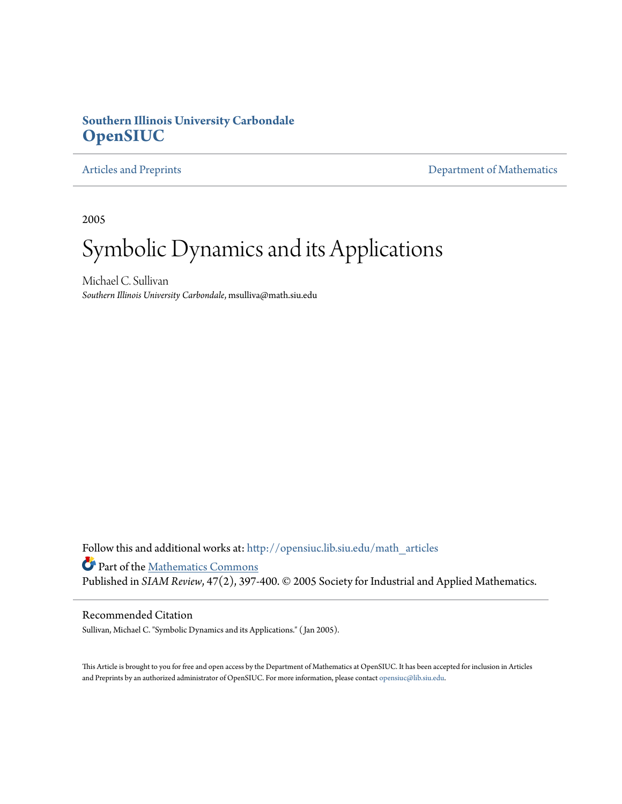## **Southern Illinois University Carbondale [OpenSIUC](http://opensiuc.lib.siu.edu?utm_source=opensiuc.lib.siu.edu%2Fmath_articles%2F80&utm_medium=PDF&utm_campaign=PDFCoverPages)**

[Articles and Preprints](http://opensiuc.lib.siu.edu/math_articles?utm_source=opensiuc.lib.siu.edu%2Fmath_articles%2F80&utm_medium=PDF&utm_campaign=PDFCoverPages) **[Department of Mathematics](http://opensiuc.lib.siu.edu/math?utm_source=opensiuc.lib.siu.edu%2Fmath_articles%2F80&utm_medium=PDF&utm_campaign=PDFCoverPages)** 

2005

# Symbolic Dynamics and its Applications

Michael C. Sullivan *Southern Illinois University Carbondale*, msulliva@math.siu.edu

Follow this and additional works at: [http://opensiuc.lib.siu.edu/math\\_articles](http://opensiuc.lib.siu.edu/math_articles?utm_source=opensiuc.lib.siu.edu%2Fmath_articles%2F80&utm_medium=PDF&utm_campaign=PDFCoverPages) Part of the [Mathematics Commons](http://network.bepress.com/hgg/discipline/174?utm_source=opensiuc.lib.siu.edu%2Fmath_articles%2F80&utm_medium=PDF&utm_campaign=PDFCoverPages) Published in *SIAM Review*, 47(2), 397-400. © 2005 Society for Industrial and Applied Mathematics.

### Recommended Citation

Sullivan, Michael C. "Symbolic Dynamics and its Applications." ( Jan 2005).

This Article is brought to you for free and open access by the Department of Mathematics at OpenSIUC. It has been accepted for inclusion in Articles and Preprints by an authorized administrator of OpenSIUC. For more information, please contact [opensiuc@lib.siu.edu](mailto:opensiuc@lib.siu.edu).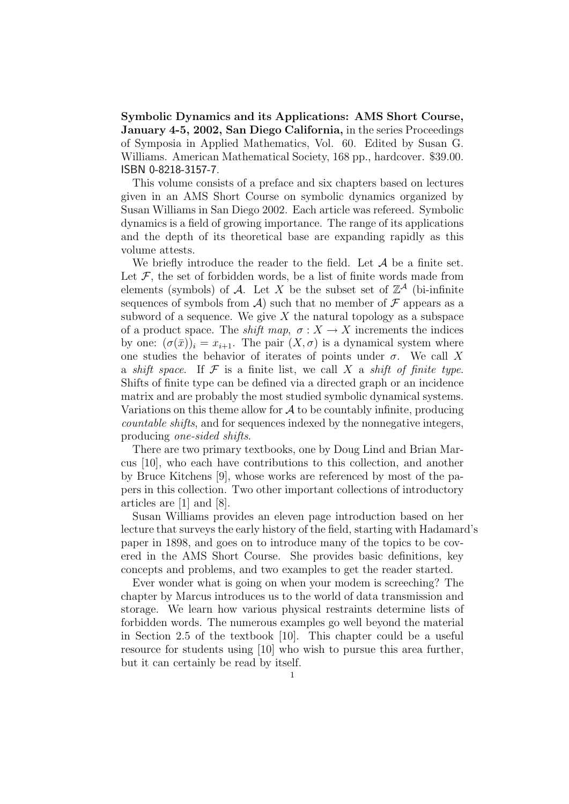Symbolic Dynamics and its Applications: AMS Short Course, January 4-5, 2002, San Diego California, in the series Proceedings of Symposia in Applied Mathematics, Vol. 60. Edited by Susan G. Williams. American Mathematical Society, 168 pp., hardcover. \$39.00. ISBN 0-8218-3157-7.

This volume consists of a preface and six chapters based on lectures given in an AMS Short Course on symbolic dynamics organized by Susan Williams in San Diego 2002. Each article was refereed. Symbolic dynamics is a field of growing importance. The range of its applications and the depth of its theoretical base are expanding rapidly as this volume attests.

We briefly introduce the reader to the field. Let  $A$  be a finite set. Let  $F$ , the set of forbidden words, be a list of finite words made from elements (symbols) of A. Let X be the subset set of  $\mathbb{Z}^{\mathcal{A}}$  (bi-infinite sequences of symbols from  $\mathcal{A}$ ) such that no member of  $\mathcal F$  appears as a subword of a sequence. We give  $X$  the natural topology as a subspace of a product space. The *shift map*,  $\sigma : X \to X$  increments the indices by one:  $(\sigma(\bar{x}))_i = x_{i+1}$ . The pair  $(X, \sigma)$  is a dynamical system where one studies the behavior of iterates of points under  $\sigma$ . We call X a shift space. If  $\mathcal F$  is a finite list, we call X a shift of finite type. Shifts of finite type can be defined via a directed graph or an incidence matrix and are probably the most studied symbolic dynamical systems. Variations on this theme allow for  $A$  to be countably infinite, producing countable shifts, and for sequences indexed by the nonnegative integers, producing one-sided shifts.

There are two primary textbooks, one by Doug Lind and Brian Marcus [10], who each have contributions to this collection, and another by Bruce Kitchens [9], whose works are referenced by most of the papers in this collection. Two other important collections of introductory articles are [1] and [8].

Susan Williams provides an eleven page introduction based on her lecture that surveys the early history of the field, starting with Hadamard's paper in 1898, and goes on to introduce many of the topics to be covered in the AMS Short Course. She provides basic definitions, key concepts and problems, and two examples to get the reader started.

Ever wonder what is going on when your modem is screeching? The chapter by Marcus introduces us to the world of data transmission and storage. We learn how various physical restraints determine lists of forbidden words. The numerous examples go well beyond the material in Section 2.5 of the textbook [10]. This chapter could be a useful resource for students using [10] who wish to pursue this area further, but it can certainly be read by itself.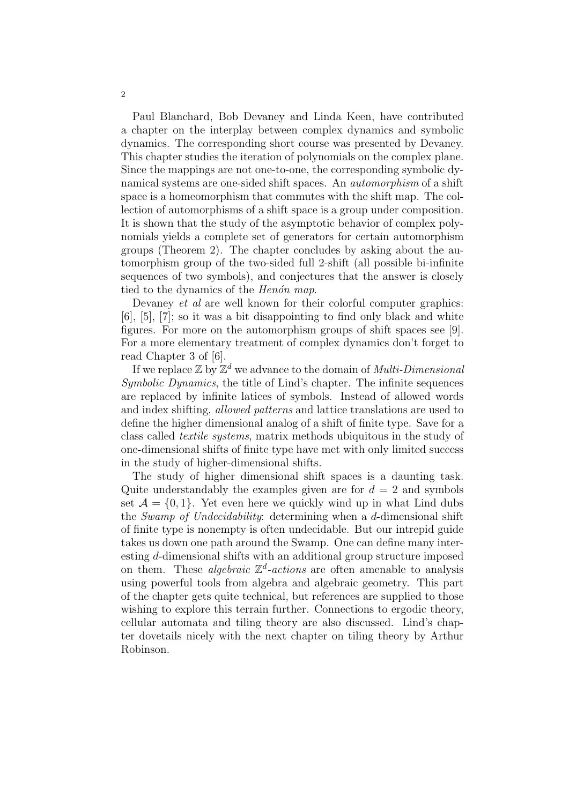Paul Blanchard, Bob Devaney and Linda Keen, have contributed a chapter on the interplay between complex dynamics and symbolic dynamics. The corresponding short course was presented by Devaney. This chapter studies the iteration of polynomials on the complex plane. Since the mappings are not one-to-one, the corresponding symbolic dynamical systems are one-sided shift spaces. An automorphism of a shift space is a homeomorphism that commutes with the shift map. The collection of automorphisms of a shift space is a group under composition. It is shown that the study of the asymptotic behavior of complex polynomials yields a complete set of generators for certain automorphism groups (Theorem 2). The chapter concludes by asking about the automorphism group of the two-sided full 2-shift (all possible bi-infinite sequences of two symbols), and conjectures that the answer is closely tied to the dynamics of the *Henón map*.

Devaney et al are well known for their colorful computer graphics:  $[6]$ ,  $[5]$ ,  $[7]$ ; so it was a bit disappointing to find only black and white figures. For more on the automorphism groups of shift spaces see [9]. For a more elementary treatment of complex dynamics don't forget to read Chapter 3 of [6].

If we replace  $\mathbb Z$  by  $\mathbb Z^d$  we advance to the domain of *Multi-Dimensional* Symbolic Dynamics, the title of Lind's chapter. The infinite sequences are replaced by infinite latices of symbols. Instead of allowed words and index shifting, allowed patterns and lattice translations are used to define the higher dimensional analog of a shift of finite type. Save for a class called textile systems, matrix methods ubiquitous in the study of one-dimensional shifts of finite type have met with only limited success in the study of higher-dimensional shifts.

The study of higher dimensional shift spaces is a daunting task. Quite understandably the examples given are for  $d = 2$  and symbols set  $\mathcal{A} = \{0, 1\}$ . Yet even here we quickly wind up in what Lind dubs the Swamp of Undecidability: determining when a d-dimensional shift of finite type is nonempty is often undecidable. But our intrepid guide takes us down one path around the Swamp. One can define many interesting d-dimensional shifts with an additional group structure imposed on them. These *algebraic*  $\mathbb{Z}^d$ -actions are often amenable to analysis using powerful tools from algebra and algebraic geometry. This part of the chapter gets quite technical, but references are supplied to those wishing to explore this terrain further. Connections to ergodic theory, cellular automata and tiling theory are also discussed. Lind's chapter dovetails nicely with the next chapter on tiling theory by Arthur Robinson.

2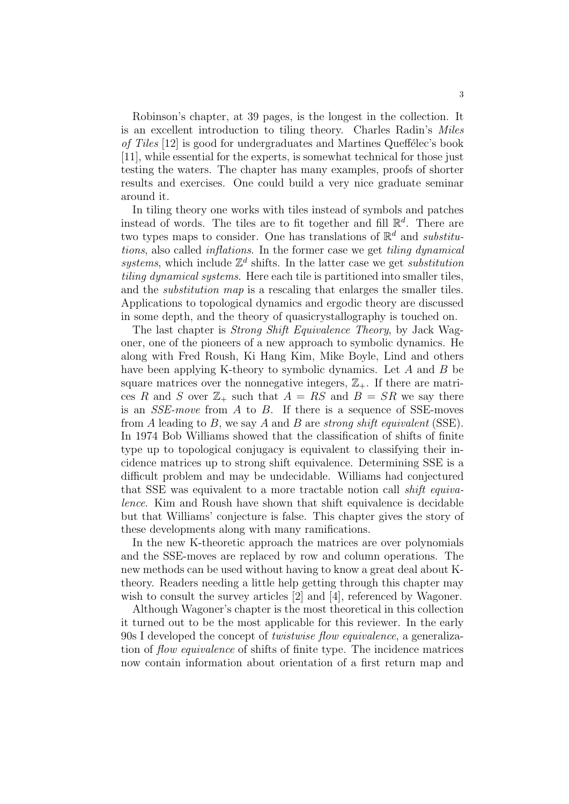Robinson's chapter, at 39 pages, is the longest in the collection. It is an excellent introduction to tiling theory. Charles Radin's Miles of Tiles  $[12]$  is good for undergraduates and Martines Queffélec's book [11], while essential for the experts, is somewhat technical for those just testing the waters. The chapter has many examples, proofs of shorter results and exercises. One could build a very nice graduate seminar around it.

In tiling theory one works with tiles instead of symbols and patches instead of words. The tiles are to fit together and fill  $\mathbb{R}^d$ . There are two types maps to consider. One has translations of  $\mathbb{R}^d$  and *substitu*tions, also called inflations. In the former case we get tiling dynamical systems, which include  $\mathbb{Z}^d$  shifts. In the latter case we get *substitution* tiling dynamical systems. Here each tile is partitioned into smaller tiles, and the substitution map is a rescaling that enlarges the smaller tiles. Applications to topological dynamics and ergodic theory are discussed in some depth, and the theory of quasicrystallography is touched on.

The last chapter is Strong Shift Equivalence Theory, by Jack Wagoner, one of the pioneers of a new approach to symbolic dynamics. He along with Fred Roush, Ki Hang Kim, Mike Boyle, Lind and others have been applying K-theory to symbolic dynamics. Let A and B be square matrices over the nonnegative integers,  $\mathbb{Z}_+$ . If there are matrices R and S over  $\mathbb{Z}_+$  such that  $A = RS$  and  $B = SR$  we say there is an SSE-move from A to B. If there is a sequence of SSE-moves from A leading to B, we say A and B are *strong shift equivalent* (SSE). In 1974 Bob Williams showed that the classification of shifts of finite type up to topological conjugacy is equivalent to classifying their incidence matrices up to strong shift equivalence. Determining SSE is a difficult problem and may be undecidable. Williams had conjectured that SSE was equivalent to a more tractable notion call shift equivalence. Kim and Roush have shown that shift equivalence is decidable but that Williams' conjecture is false. This chapter gives the story of these developments along with many ramifications.

In the new K-theoretic approach the matrices are over polynomials and the SSE-moves are replaced by row and column operations. The new methods can be used without having to know a great deal about Ktheory. Readers needing a little help getting through this chapter may wish to consult the survey articles [2] and [4], referenced by Wagoner.

Although Wagoner's chapter is the most theoretical in this collection it turned out to be the most applicable for this reviewer. In the early 90s I developed the concept of twistwise flow equivalence, a generalization of flow equivalence of shifts of finite type. The incidence matrices now contain information about orientation of a first return map and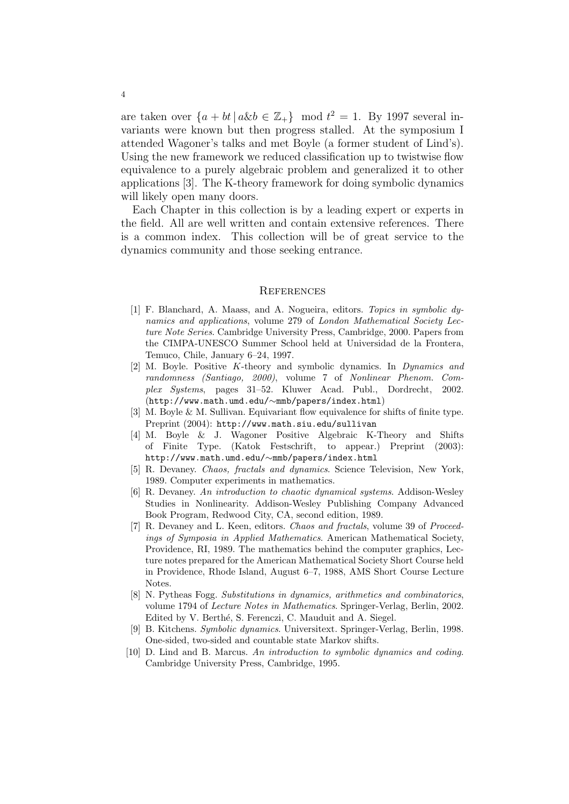are taken over  $\{a + bt \mid a \& b \in \mathbb{Z}_+\}$  mod  $t^2 = 1$ . By 1997 several invariants were known but then progress stalled. At the symposium I attended Wagoner's talks and met Boyle (a former student of Lind's). Using the new framework we reduced classification up to twistwise flow equivalence to a purely algebraic problem and generalized it to other applications [3]. The K-theory framework for doing symbolic dynamics will likely open many doors.

Each Chapter in this collection is by a leading expert or experts in the field. All are well written and contain extensive references. There is a common index. This collection will be of great service to the dynamics community and those seeking entrance.

### **REFERENCES**

- [1] F. Blanchard, A. Maass, and A. Nogueira, editors. Topics in symbolic dynamics and applications, volume 279 of London Mathematical Society Lecture Note Series. Cambridge University Press, Cambridge, 2000. Papers from the CIMPA-UNESCO Summer School held at Universidad de la Frontera, Temuco, Chile, January 6–24, 1997.
- [2] M. Boyle. Positive K-theory and symbolic dynamics. In Dynamics and randomness (Santiago, 2000), volume 7 of Nonlinear Phenom. Complex Systems, pages 31–52. Kluwer Acad. Publ., Dordrecht, 2002. (http://www.math.umd.edu/∼mmb/papers/index.html)
- [3] M. Boyle & M. Sullivan. Equivariant flow equivalence for shifts of finite type. Preprint (2004): http://www.math.siu.edu/sullivan
- [4] M. Boyle & J. Wagoner Positive Algebraic K-Theory and Shifts of Finite Type. (Katok Festschrift, to appear.) Preprint (2003): http://www.math.umd.edu/∼mmb/papers/index.html
- [5] R. Devaney. Chaos, fractals and dynamics. Science Television, New York, 1989. Computer experiments in mathematics.
- [6] R. Devaney. An introduction to chaotic dynamical systems. Addison-Wesley Studies in Nonlinearity. Addison-Wesley Publishing Company Advanced Book Program, Redwood City, CA, second edition, 1989.
- [7] R. Devaney and L. Keen, editors. Chaos and fractals, volume 39 of Proceedings of Symposia in Applied Mathematics. American Mathematical Society, Providence, RI, 1989. The mathematics behind the computer graphics, Lecture notes prepared for the American Mathematical Society Short Course held in Providence, Rhode Island, August 6–7, 1988, AMS Short Course Lecture Notes.
- [8] N. Pytheas Fogg. Substitutions in dynamics, arithmetics and combinatorics, volume 1794 of Lecture Notes in Mathematics. Springer-Verlag, Berlin, 2002. Edited by V. Berthé, S. Ferenczi, C. Mauduit and A. Siegel.
- [9] B. Kitchens. Symbolic dynamics. Universitext. Springer-Verlag, Berlin, 1998. One-sided, two-sided and countable state Markov shifts.
- [10] D. Lind and B. Marcus. An introduction to symbolic dynamics and coding. Cambridge University Press, Cambridge, 1995.